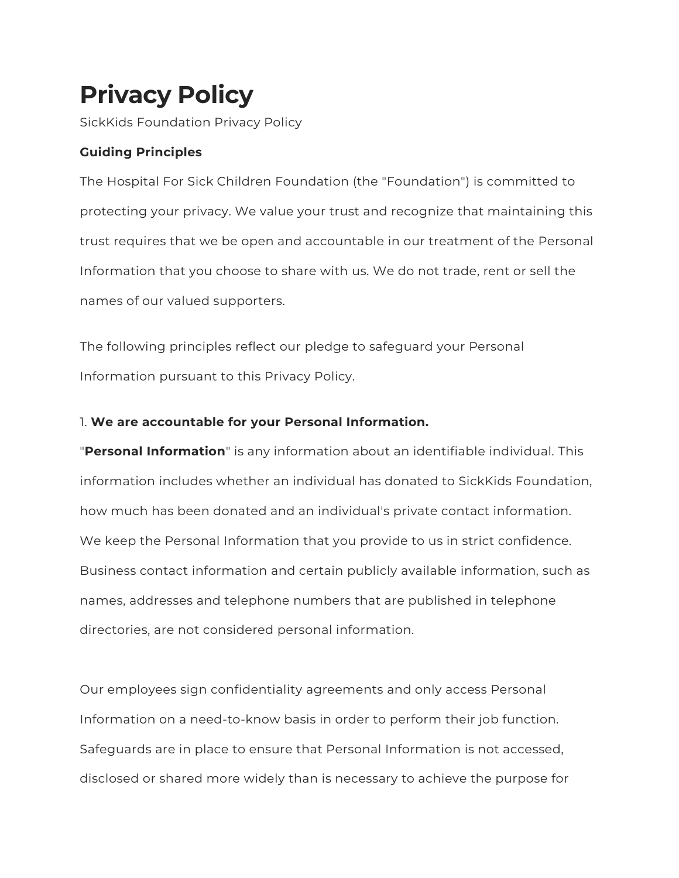# **Privacy Policy**

SickKids Foundation Privacy Policy

# **Guiding Principles**

The Hospital For Sick Children Foundation (the "Foundation") is committed to protecting your privacy. We value your trust and recognize that maintaining this trust requires that we be open and accountable in our treatment of the Personal Information that you choose to share with us. We do not trade, rent or sell the names of our valued supporters.

The following principles reflect our pledge to safeguard your Personal Information pursuant to this Privacy Policy.

## 1. **We are accountable for your Personal Information.**

"**Personal Information**" is any information about an identifiable individual. This information includes whether an individual has donated to SickKids Foundation, how much has been donated and an individual's private contact information. We keep the Personal Information that you provide to us in strict confidence. Business contact information and certain publicly available information, such as names, addresses and telephone numbers that are published in telephone directories, are not considered personal information.

Our employees sign confidentiality agreements and only access Personal Information on a need-to-know basis in order to perform their job function. Safeguards are in place to ensure that Personal Information is not accessed, disclosed or shared more widely than is necessary to achieve the purpose for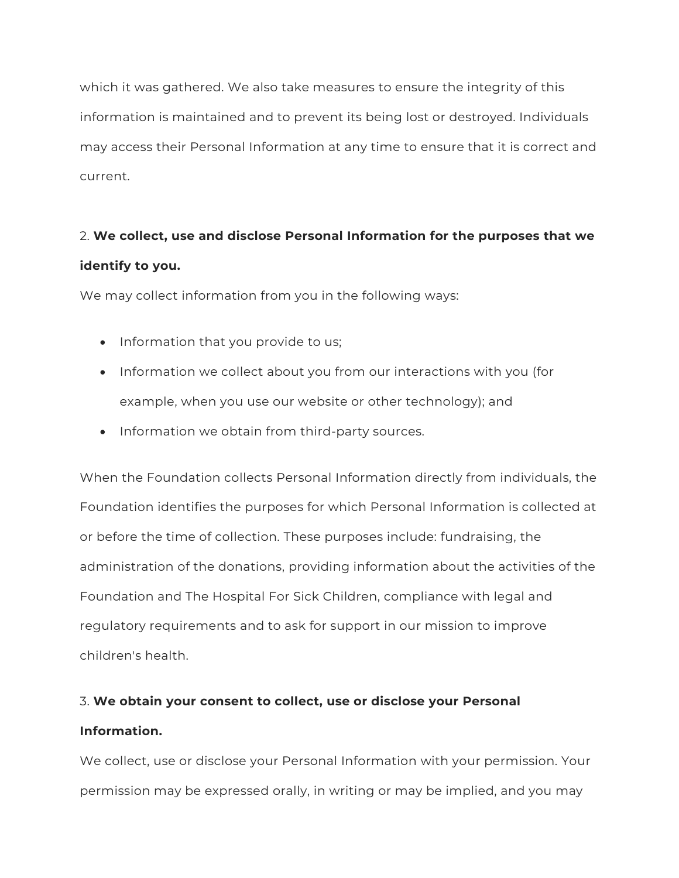which it was gathered. We also take measures to ensure the integrity of this information is maintained and to prevent its being lost or destroyed. Individuals may access their Personal Information at any time to ensure that it is correct and current.

# 2. **We collect, use and disclose Personal Information for the purposes that we identify to you.**

We may collect information from you in the following ways:

- Information that you provide to us;
- Information we collect about you from our interactions with you (for example, when you use our website or other technology); and
- Information we obtain from third-party sources.

When the Foundation collects Personal Information directly from individuals, the Foundation identifies the purposes for which Personal Information is collected at or before the time of collection. These purposes include: fundraising, the administration of the donations, providing information about the activities of the Foundation and The Hospital For Sick Children, compliance with legal and regulatory requirements and to ask for support in our mission to improve children's health.

# 3. **We obtain your consent to collect, use or disclose your Personal Information.**

We collect, use or disclose your Personal Information with your permission. Your permission may be expressed orally, in writing or may be implied, and you may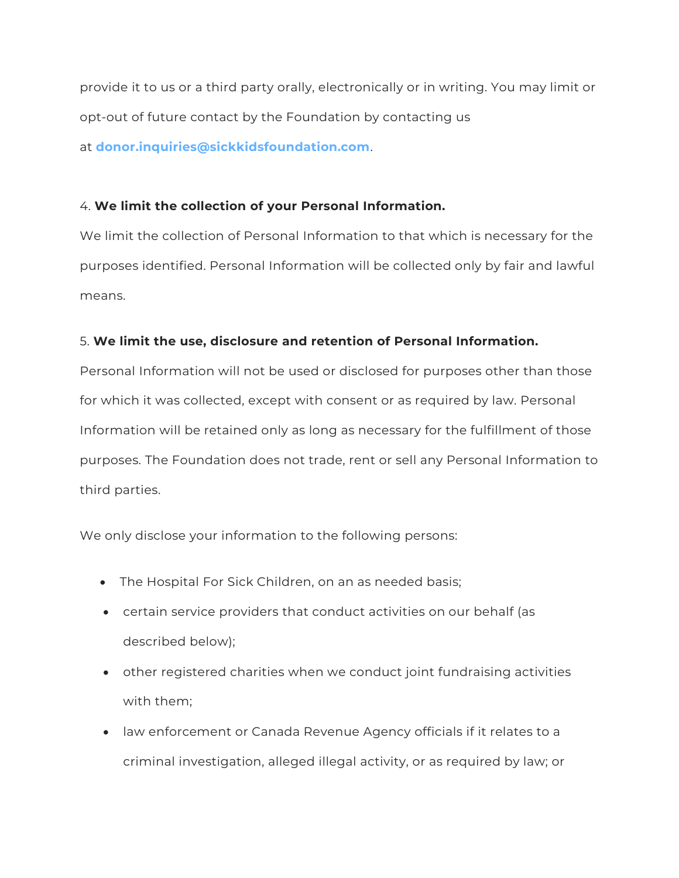provide it to us or a third party orally, electronically or in writing. You may limit or opt-out of future contact by the Foundation by contacting us at **[donor.inquiries@sickkidsfoundation.com](mailto:donor.inquiries@sickkidsfoundation.com)**.

### 4. **We limit the collection of your Personal Information.**

We limit the collection of Personal Information to that which is necessary for the purposes identified. Personal Information will be collected only by fair and lawful means.

### 5. **We limit the use, disclosure and retention of Personal Information.**

Personal Information will not be used or disclosed for purposes other than those for which it was collected, except with consent or as required by law. Personal Information will be retained only as long as necessary for the fulfillment of those purposes. The Foundation does not trade, rent or sell any Personal Information to third parties.

We only disclose your information to the following persons:

- The Hospital For Sick Children, on an as needed basis;
- certain service providers that conduct activities on our behalf (as described below);
- other registered charities when we conduct joint fundraising activities with them;
- law enforcement or Canada Revenue Agency officials if it relates to a criminal investigation, alleged illegal activity, or as required by law; or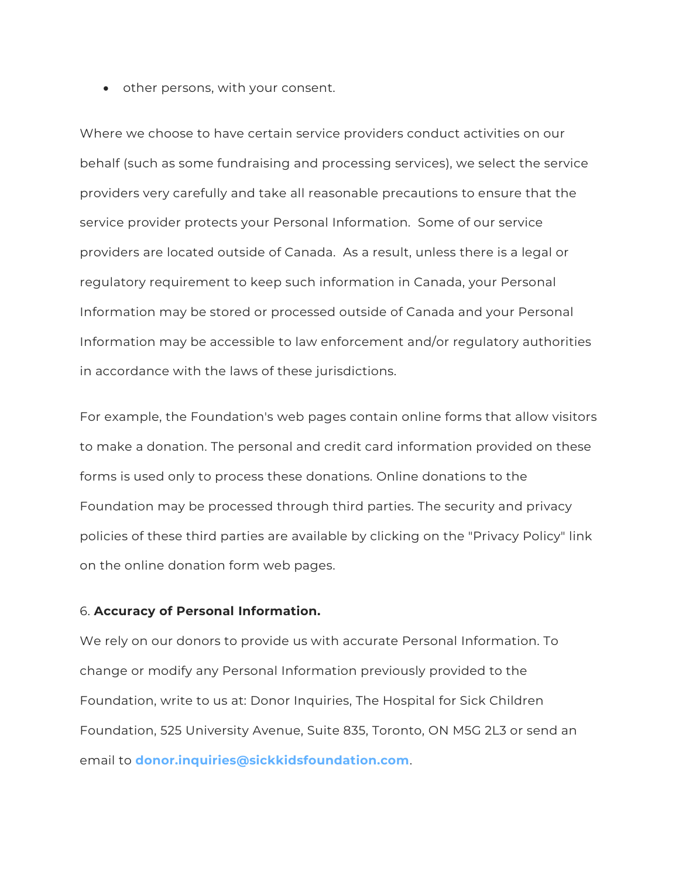• other persons, with your consent.

Where we choose to have certain service providers conduct activities on our behalf (such as some fundraising and processing services), we select the service providers very carefully and take all reasonable precautions to ensure that the service provider protects your Personal Information. Some of our service providers are located outside of Canada. As a result, unless there is a legal or regulatory requirement to keep such information in Canada, your Personal Information may be stored or processed outside of Canada and your Personal Information may be accessible to law enforcement and/or regulatory authorities in accordance with the laws of these jurisdictions.

For example, the Foundation's web pages contain online forms that allow visitors to make a donation. The personal and credit card information provided on these forms is used only to process these donations. Online donations to the Foundation may be processed through third parties. The security and privacy policies of these third parties are available by clicking on the "Privacy Policy" link on the online donation form web pages.

#### 6. **Accuracy of Personal Information.**

We rely on our donors to provide us with accurate Personal Information. To change or modify any Personal Information previously provided to the Foundation, write to us at: Donor Inquiries, The Hospital for Sick Children Foundation, 525 University Avenue, Suite 835, Toronto, ON M5G 2L3 or send an email to **[donor.inquiries@sickkidsfoundation.com](mailto:donor.inquiries@sickkidsfoundation.com)**.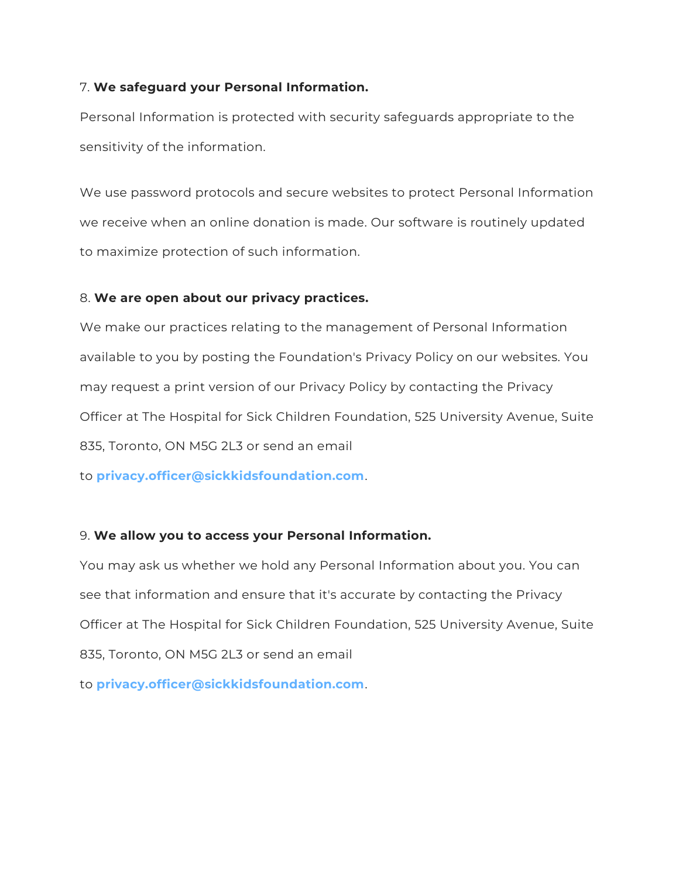#### 7. **We safeguard your Personal Information.**

Personal Information is protected with security safeguards appropriate to the sensitivity of the information.

We use password protocols and secure websites to protect Personal Information we receive when an online donation is made. Our software is routinely updated to maximize protection of such information.

#### 8. **We are open about our privacy practices.**

We make our practices relating to the management of Personal Information available to you by posting the Foundation's Privacy Policy on our websites. You may request a print version of our Privacy Policy by contacting the Privacy Officer at The Hospital for Sick Children Foundation, 525 University Avenue, Suite 835, Toronto, ON M5G 2L3 or send an email

to **[privacy.officer@sickkidsfoundation.com](mailto:privacy.officer@sickkidsfoundation.com)**.

#### 9. **We allow you to access your Personal Information.**

You may ask us whether we hold any Personal Information about you. You can see that information and ensure that it's accurate by contacting the Privacy Officer at The Hospital for Sick Children Foundation, 525 University Avenue, Suite 835, Toronto, ON M5G 2L3 or send an email

to **[privacy.officer@sickkidsfoundation.com](mailto:privacy.officer@sickkidsfoundation.com)**.